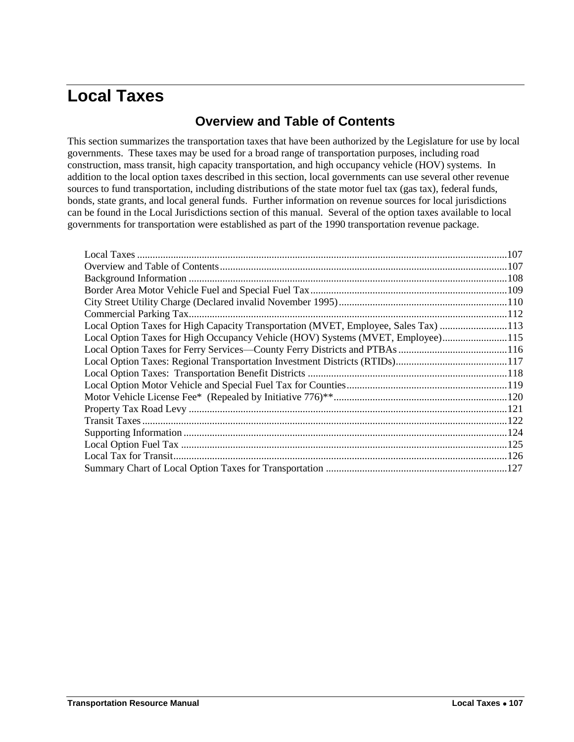# <span id="page-0-1"></span><span id="page-0-0"></span>**Local Taxes**

# **Overview and Table of Contents**

This section summarizes the transportation taxes that have been authorized by the Legislature for use by local governments. These taxes may be used for a broad range of transportation purposes, including road construction, mass transit, high capacity transportation, and high occupancy vehicle (HOV) systems. In addition to the local option taxes described in this section, local governments can use several other revenue sources to fund transportation, including distributions of the state motor fuel tax (gas tax), federal funds, bonds, state grants, and local general funds. Further information on revenue sources for local jurisdictions can be found in the Local Jurisdictions section of this manual. Several of the option taxes available to local governments for transportation were established as part of the 1990 transportation revenue package.

| Local Option Taxes for High Capacity Transportation (MVET, Employee, Sales Tax) 113 |  |
|-------------------------------------------------------------------------------------|--|
| Local Option Taxes for High Occupancy Vehicle (HOV) Systems (MVET, Employee) 115    |  |
|                                                                                     |  |
|                                                                                     |  |
|                                                                                     |  |
|                                                                                     |  |
|                                                                                     |  |
|                                                                                     |  |
|                                                                                     |  |
|                                                                                     |  |
|                                                                                     |  |
|                                                                                     |  |
|                                                                                     |  |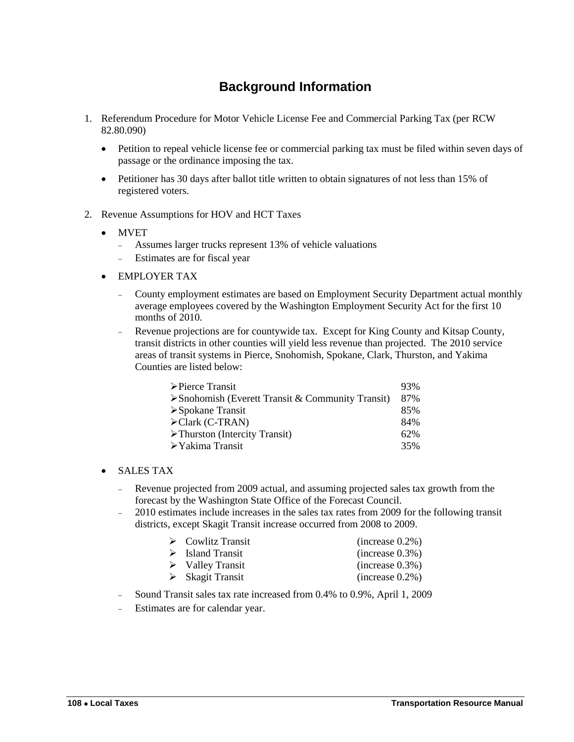# **Background Information**

- <span id="page-1-0"></span>1. Referendum Procedure for Motor Vehicle License Fee and Commercial Parking Tax (per RCW 82.80.090)
	- Petition to repeal vehicle license fee or commercial parking tax must be filed within seven days of passage or the ordinance imposing the tax.
	- Petitioner has 30 days after ballot title written to obtain signatures of not less than 15% of registered voters.
- 2. Revenue Assumptions for HOV and HCT Taxes
	- MVET
		- Assumes larger trucks represent 13% of vehicle valuations
		- Estimates are for fiscal year
	- EMPLOYER TAX
		- County employment estimates are based on Employment Security Department actual monthly average employees covered by the Washington Employment Security Act for the first 10 months of 2010.
		- Revenue projections are for countywide tax. Except for King County and Kitsap County, transit districts in other counties will yield less revenue than projected. The 2010 service areas of transit systems in Pierce, Snohomish, Spokane, Clark, Thurston, and Yakima Counties are listed below:

| $\triangleright$ Pierce Transit                                  | 93% |
|------------------------------------------------------------------|-----|
| $\triangleright$ Snohomish (Everett Transit & Community Transit) | 87% |
| $\triangleright$ Spokane Transit                                 | 85% |
| $\triangle$ Clark (C-TRAN)                                       | 84% |
| $\triangleright$ Thurston (Intercity Transit)                    | 62% |
| $\triangleright$ Yakima Transit                                  | 35% |

#### SALES TAX

- Revenue projected from 2009 actual, and assuming projected sales tax growth from the forecast by the Washington State Office of the Forecast Council.
- 2010 estimates include increases in the sales tax rates from 2009 for the following transit districts, except Skagit Transit increase occurred from 2008 to 2009.

| $\triangleright$ Cowlitz Transit | (increase 0.2%) |
|----------------------------------|-----------------|
| $\triangleright$ Island Transit  | (increase 0.3%) |
| $\triangleright$ Valley Transit  | (increase 0.3%) |
| $\triangleright$ Skagit Transit  | (increase 0.2%) |

- Sound Transit sales tax rate increased from 0.4% to 0.9%, April 1, 2009
- Estimates are for calendar year.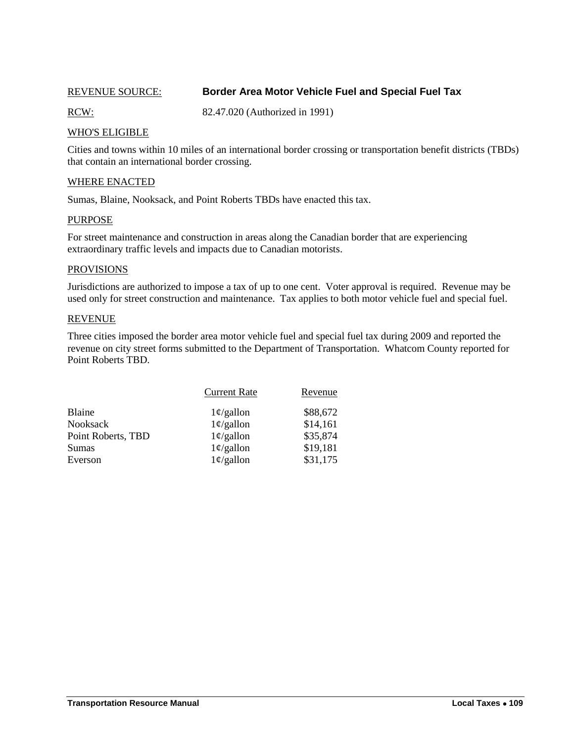## <span id="page-2-0"></span>REVENUE SOURCE: **Border Area Motor Vehicle Fuel and Special Fuel Tax**

RCW: 82.47.020 (Authorized in 1991)

### WHO'S ELIGIBLE

Cities and towns within 10 miles of an international border crossing or transportation benefit districts (TBDs) that contain an international border crossing.

#### WHERE ENACTED

Sumas, Blaine, Nooksack, and Point Roberts TBDs have enacted this tax.

#### PURPOSE

For street maintenance and construction in areas along the Canadian border that are experiencing extraordinary traffic levels and impacts due to Canadian motorists.

#### PROVISIONS

Jurisdictions are authorized to impose a tax of up to one cent. Voter approval is required. Revenue may be used only for street construction and maintenance. Tax applies to both motor vehicle fuel and special fuel.

#### **REVENUE**

Three cities imposed the border area motor vehicle fuel and special fuel tax during 2009 and reported the revenue on city street forms submitted to the Department of Transportation. Whatcom County reported for Point Roberts TBD.

|                    | <b>Current Rate</b> | Revenue  |
|--------------------|---------------------|----------|
| Blaine             | $1\phi$ /gallon     | \$88,672 |
| <b>Nooksack</b>    | $1\phi$ /gallon     | \$14,161 |
| Point Roberts, TBD | $1\phi$ /gallon     | \$35,874 |
| Sumas              | $1\phi$ /gallon     | \$19,181 |
| Everson            | $1\phi$ /gallon     | \$31,175 |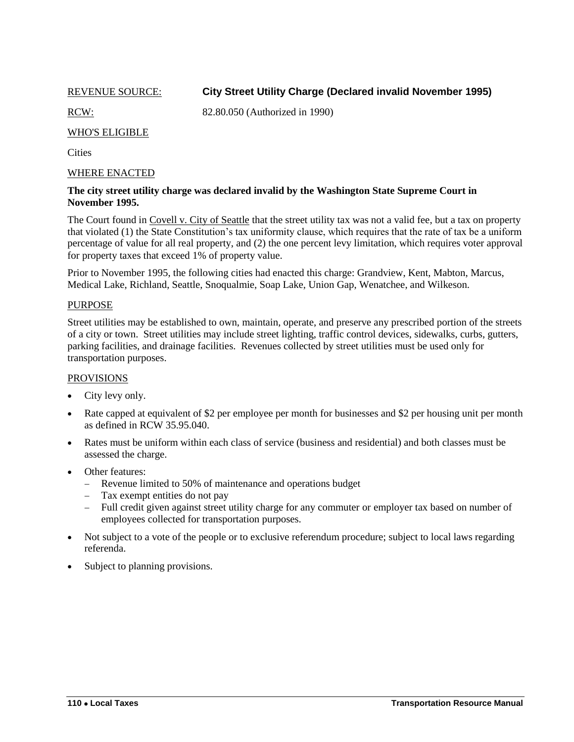<span id="page-3-0"></span>

# REVENUE SOURCE: **City Street Utility Charge (Declared invalid November 1995)**

RCW: 82.80.050 (Authorized in 1990)

# WHO'S ELIGIBLE

**Cities** 

#### WHERE ENACTED

#### **The city street utility charge was declared invalid by the Washington State Supreme Court in November 1995.**

The Court found in Covell v. City of Seattle that the street utility tax was not a valid fee, but a tax on property that violated (1) the State Constitution's tax uniformity clause, which requires that the rate of tax be a uniform percentage of value for all real property, and (2) the one percent levy limitation, which requires voter approval for property taxes that exceed 1% of property value.

Prior to November 1995, the following cities had enacted this charge: Grandview, Kent, Mabton, Marcus, Medical Lake, Richland, Seattle, Snoqualmie, Soap Lake, Union Gap, Wenatchee, and Wilkeson.

#### PURPOSE

Street utilities may be established to own, maintain, operate, and preserve any prescribed portion of the streets of a city or town. Street utilities may include street lighting, traffic control devices, sidewalks, curbs, gutters, parking facilities, and drainage facilities. Revenues collected by street utilities must be used only for transportation purposes.

#### PROVISIONS

- City levy only.
- Rate capped at equivalent of \$2 per employee per month for businesses and \$2 per housing unit per month as defined in RCW 35.95.040.
- Rates must be uniform within each class of service (business and residential) and both classes must be assessed the charge.
- Other features:
	- Revenue limited to 50% of maintenance and operations budget
	- Tax exempt entities do not pay
	- Full credit given against street utility charge for any commuter or employer tax based on number of employees collected for transportation purposes.
- Not subject to a vote of the people or to exclusive referendum procedure; subject to local laws regarding referenda.
- Subject to planning provisions.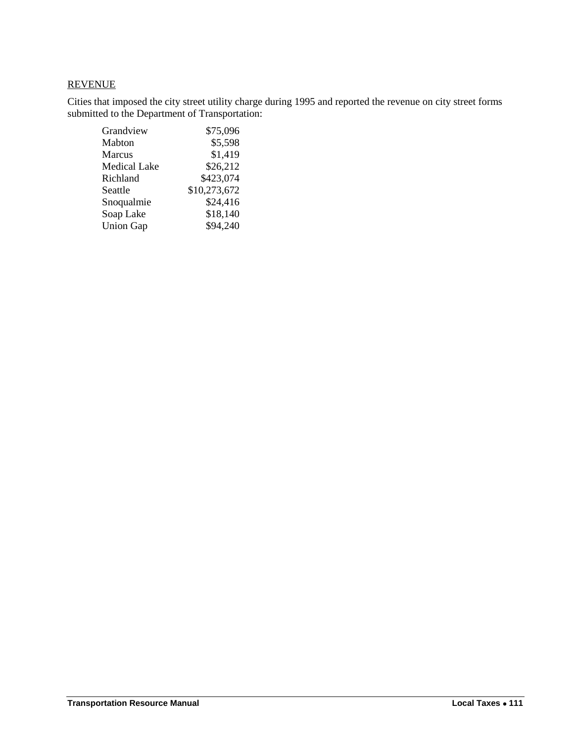# REVENUE

Cities that imposed the city street utility charge during 1995 and reported the revenue on city street forms submitted to the Department of Transportation:

| Grandview           | \$75,096     |
|---------------------|--------------|
| Mabton              | \$5,598      |
| <b>Marcus</b>       | \$1,419      |
| <b>Medical Lake</b> | \$26,212     |
| Richland            | \$423,074    |
| Seattle             | \$10,273,672 |
| Snoqualmie          | \$24,416     |
| Soap Lake           | \$18,140     |
| <b>Union Gap</b>    | \$94,240     |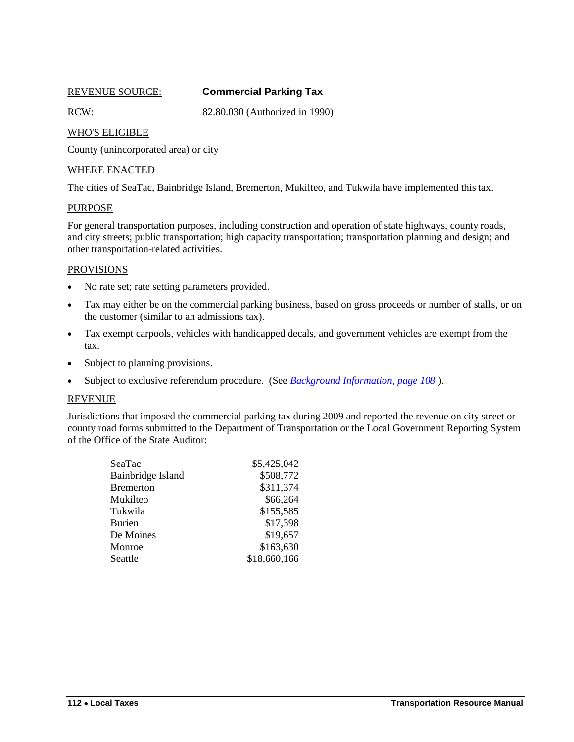<span id="page-5-0"></span>

# REVENUE SOURCE: **Commercial Parking Tax**

RCW: 82.80.030 (Authorized in 1990)

## WHO'S ELIGIBLE

County (unincorporated area) or city

### WHERE ENACTED

The cities of SeaTac, Bainbridge Island, Bremerton, Mukilteo, and Tukwila have implemented this tax.

#### PURPOSE

For general transportation purposes, including construction and operation of state highways, county roads, and city streets; public transportation; high capacity transportation; transportation planning and design; and other transportation-related activities.

#### PROVISIONS

- No rate set; rate setting parameters provided.
- Tax may either be on the commercial parking business, based on gross proceeds or number of stalls, or on the customer (similar to an admissions tax).
- Tax exempt carpools, vehicles with handicapped decals, and government vehicles are exempt from the tax.
- Subject to planning provisions.
- Subject to exclusive referendum procedure. (See *Background Information, page 108* ).

#### REVENUE

Jurisdictions that imposed the commercial parking tax during 2009 and reported the revenue on city street or county road forms submitted to the Department of Transportation or the Local Government Reporting System of the Office of the State Auditor:

| SeaTac            | \$5,425,042  |
|-------------------|--------------|
| Bainbridge Island | \$508,772    |
| <b>Bremerton</b>  | \$311,374    |
| Mukilteo          | \$66,264     |
| Tukwila           | \$155,585    |
| <b>Burien</b>     | \$17,398     |
| De Moines         | \$19,657     |
| Monroe            | \$163,630    |
| Seattle           | \$18,660,166 |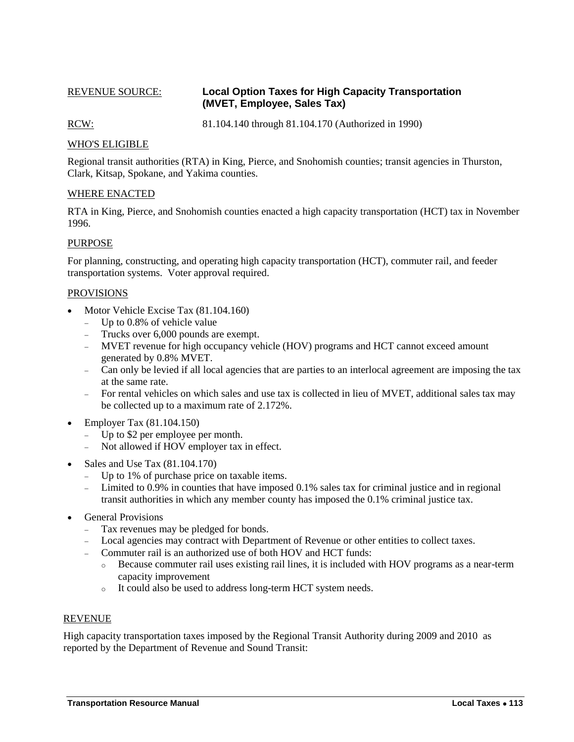### <span id="page-6-0"></span>REVENUE SOURCE: **Local Option Taxes for High Capacity Transportation (MVET, Employee, Sales Tax)**

RCW: 81.104.140 through 81.104.170 (Authorized in 1990)

# WHO'S ELIGIBLE

Regional transit authorities (RTA) in King, Pierce, and Snohomish counties; transit agencies in Thurston, Clark, Kitsap, Spokane, and Yakima counties.

#### WHERE ENACTED

RTA in King, Pierce, and Snohomish counties enacted a high capacity transportation (HCT) tax in November 1996.

#### PURPOSE

For planning, constructing, and operating high capacity transportation (HCT), commuter rail, and feeder transportation systems. Voter approval required.

#### PROVISIONS

- Motor Vehicle Excise Tax (81.104.160)
	- Up to 0.8% of vehicle value
	- Trucks over 6,000 pounds are exempt.
	- MVET revenue for high occupancy vehicle (HOV) programs and HCT cannot exceed amount generated by 0.8% MVET.
	- Can only be levied if all local agencies that are parties to an interlocal agreement are imposing the tax at the same rate.
	- For rental vehicles on which sales and use tax is collected in lieu of MVET, additional sales tax may be collected up to a maximum rate of 2.172%.
- Employer Tax (81.104.150)
	- Up to \$2 per employee per month.
	- Not allowed if HOV employer tax in effect.
- Sales and Use Tax (81.104.170)
	- Up to 1% of purchase price on taxable items.
	- Limited to 0.9% in counties that have imposed 0.1% sales tax for criminal justice and in regional transit authorities in which any member county has imposed the 0.1% criminal justice tax.
- General Provisions
	- Tax revenues may be pledged for bonds.
	- Local agencies may contract with Department of Revenue or other entities to collect taxes.
	- Commuter rail is an authorized use of both HOV and HCT funds:
		- o Because commuter rail uses existing rail lines, it is included with HOV programs as a near-term capacity improvement
		- o It could also be used to address long-term HCT system needs.

#### REVENUE

High capacity transportation taxes imposed by the Regional Transit Authority during 2009 and 2010 as reported by the Department of Revenue and Sound Transit: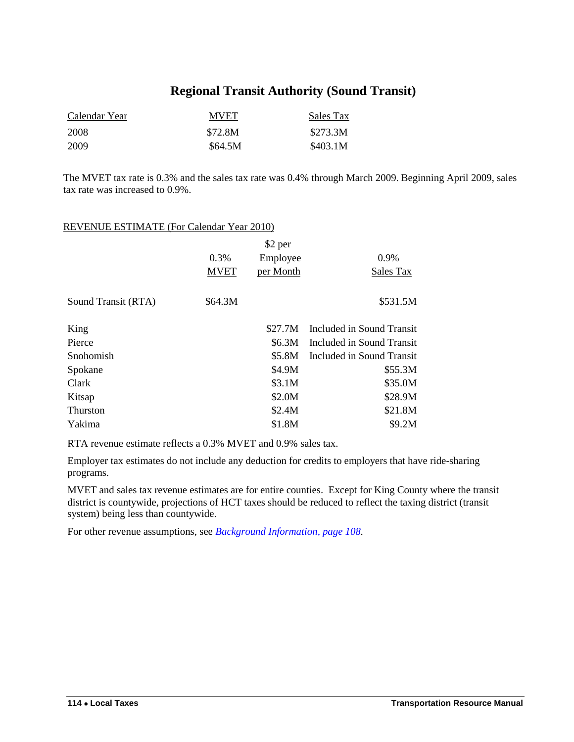# **Regional Transit Authority (Sound Transit)**

| Calendar Year | <b>MVET</b> | Sales Tax |
|---------------|-------------|-----------|
| 2008          | \$72.8M     | \$273.3M  |
| 2009          | \$64.5M     | \$403.1M  |

The MVET tax rate is 0.3% and the sales tax rate was 0.4% through March 2009. Beginning April 2009, sales tax rate was increased to 0.9%.

# REVENUE ESTIMATE (For Calendar Year 2010)

|                     |             | \$2 per   |                           |
|---------------------|-------------|-----------|---------------------------|
|                     | 0.3%        | Employee  | 0.9%                      |
|                     | <b>MVET</b> | per Month | Sales Tax                 |
| Sound Transit (RTA) | \$64.3M     |           | \$531.5M                  |
| King                |             | \$27.7M   | Included in Sound Transit |
| Pierce              |             | \$6.3M    | Included in Sound Transit |
| Snohomish           |             | \$5.8M    | Included in Sound Transit |
| Spokane             |             | \$4.9M    | \$55.3M                   |
| Clark               |             | \$3.1M    | \$35.0M                   |
| Kitsap              |             | \$2.0M    | \$28.9M                   |
| <b>Thurston</b>     |             | \$2.4M    | \$21.8M                   |
| Yakima              |             | \$1.8M    | \$9.2M                    |
|                     |             |           |                           |

RTA revenue estimate reflects a 0.3% MVET and 0.9% sales tax.

Employer tax estimates do not include any deduction for credits to employers that have ride-sharing programs.

MVET and sales tax revenue estimates are for entire counties. Except for King County where the transit district is countywide, projections of HCT taxes should be reduced to reflect the taxing district (transit system) being less than countywide.

For other revenue assumptions, see *Background Information, page 108.*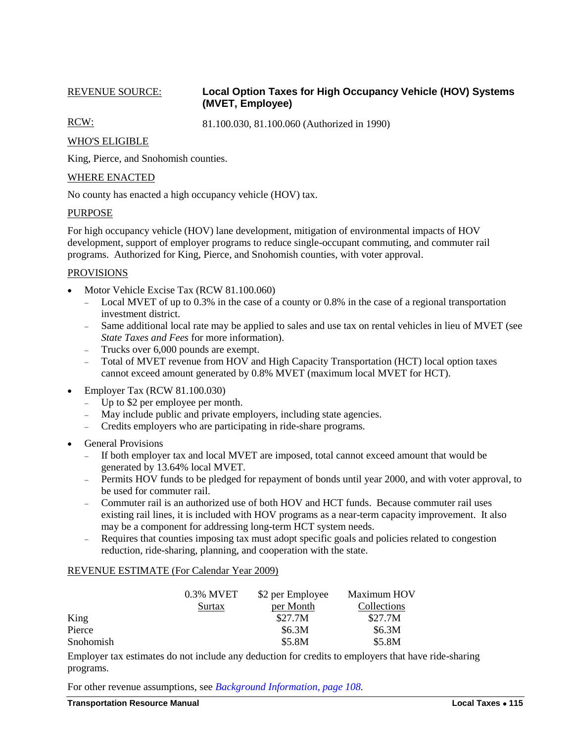## <span id="page-8-0"></span>REVENUE SOURCE: **Local Option Taxes for High Occupancy Vehicle (HOV) Systems (MVET, Employee)**

RCW: 81.100.030, 81.100.060 (Authorized in 1990)

#### WHO'S ELIGIBLE

King, Pierce, and Snohomish counties.

#### WHERE ENACTED

No county has enacted a high occupancy vehicle (HOV) tax.

#### PURPOSE

For high occupancy vehicle (HOV) lane development, mitigation of environmental impacts of HOV development, support of employer programs to reduce single-occupant commuting, and commuter rail programs. Authorized for King, Pierce, and Snohomish counties, with voter approval.

#### PROVISIONS

- Motor Vehicle Excise Tax (RCW 81.100.060)
	- Local MVET of up to 0.3% in the case of a county or 0.8% in the case of a regional transportation investment district.
	- Same additional local rate may be applied to sales and use tax on rental vehicles in lieu of MVET (see *State Taxes and Fees* for more information).
	- Trucks over 6,000 pounds are exempt.
	- Total of MVET revenue from HOV and High Capacity Transportation (HCT) local option taxes cannot exceed amount generated by 0.8% MVET (maximum local MVET for HCT).
- Employer Tax (RCW 81.100.030)
	- Up to \$2 per employee per month.
	- May include public and private employers, including state agencies.
	- Credits employers who are participating in ride-share programs.
- General Provisions
	- If both employer tax and local MVET are imposed, total cannot exceed amount that would be generated by 13.64% local MVET.
	- Permits HOV funds to be pledged for repayment of bonds until year 2000, and with voter approval, to be used for commuter rail.
	- Commuter rail is an authorized use of both HOV and HCT funds. Because commuter rail uses existing rail lines, it is included with HOV programs as a near-term capacity improvement. It also may be a component for addressing long-term HCT system needs.
	- Requires that counties imposing tax must adopt specific goals and policies related to congestion reduction, ride-sharing, planning, and cooperation with the state.

#### REVENUE ESTIMATE (For Calendar Year 2009)

|           | 0.3% MVET | \$2 per Employee | Maximum HOV        |
|-----------|-----------|------------------|--------------------|
|           | Surtax    | per Month        | <b>Collections</b> |
| King      |           | \$27.7M          | \$27.7M            |
| Pierce    |           | \$6.3M           | \$6.3M             |
| Snohomish |           | \$5.8M           | \$5.8M             |

Employer tax estimates do not include any deduction for credits to employers that have ride-sharing programs.

For other revenue assumptions, see *Background Information, page 108.*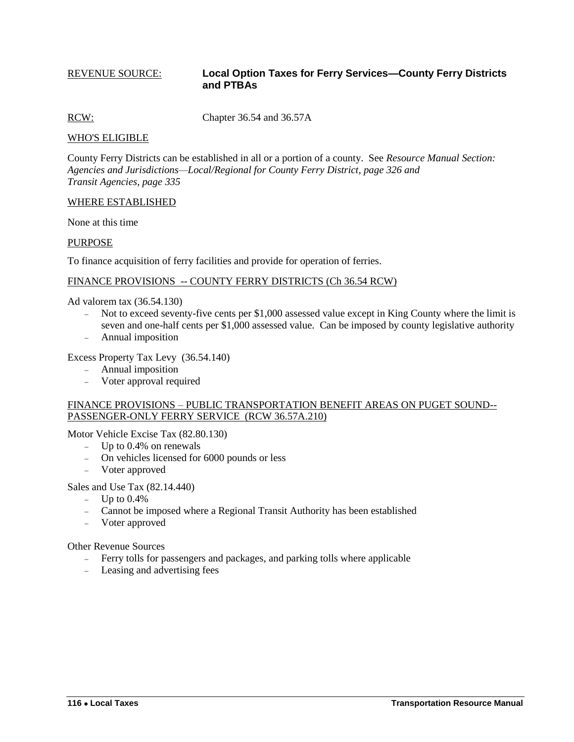#### <span id="page-9-0"></span>REVENUE SOURCE: **Local Option Taxes for Ferry Services—County Ferry Districts and PTBAs**

RCW: Chapter 36.54 and 36.57A

#### WHO'S ELIGIBLE

County Ferry Districts can be established in all or a portion of a county. See *Resource Manual Section: Agencies and Jurisdictions—Local/Regional for County Ferry District, page 326 and Transit Agencies, page 335*

#### WHERE ESTABLISHED

None at this time

#### PURPOSE

To finance acquisition of ferry facilities and provide for operation of ferries.

#### FINANCE PROVISIONS -- COUNTY FERRY DISTRICTS (Ch 36.54 RCW)

Ad valorem tax (36.54.130)

- Not to exceed seventy-five cents per \$1,000 assessed value except in King County where the limit is seven and one-half cents per \$1,000 assessed value. Can be imposed by county legislative authority
- Annual imposition

#### Excess Property Tax Levy (36.54.140)

- Annual imposition
- Voter approval required

#### FINANCE PROVISIONS – PUBLIC TRANSPORTATION BENEFIT AREAS ON PUGET SOUND-- PASSENGER-ONLY FERRY SERVICE (RCW 36.57A.210)

Motor Vehicle Excise Tax (82.80.130)

- $-$  Up to 0.4% on renewals
- On vehicles licensed for 6000 pounds or less
- Voter approved

#### Sales and Use Tax (82.14.440)

- $-$  Up to 0.4%
- Cannot be imposed where a Regional Transit Authority has been established
- Voter approved

Other Revenue Sources

- Ferry tolls for passengers and packages, and parking tolls where applicable
- Leasing and advertising fees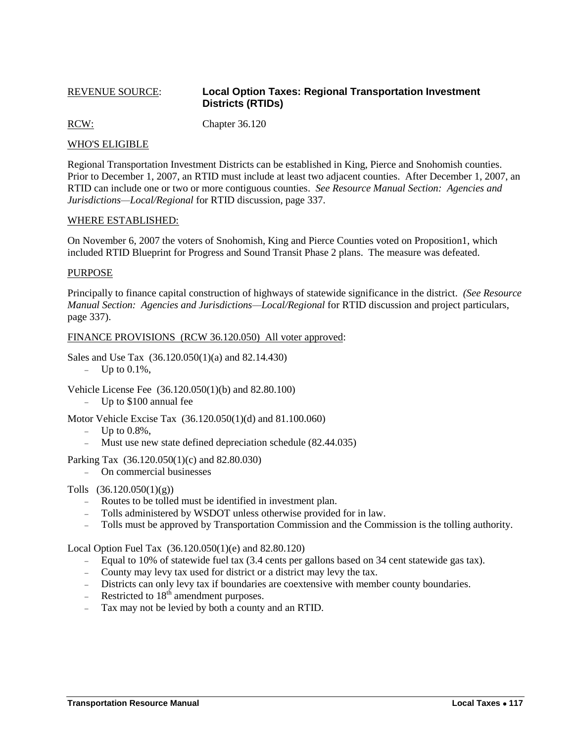### <span id="page-10-0"></span>REVENUE SOURCE: **Local Option Taxes: Regional Transportation Investment Districts (RTIDs)**

RCW: Chapter 36.120

#### WHO'S ELIGIBLE

Regional Transportation Investment Districts can be established in King, Pierce and Snohomish counties. Prior to December 1, 2007, an RTID must include at least two adjacent counties. After December 1, 2007, an RTID can include one or two or more contiguous counties. *See Resource Manual Section: Agencies and Jurisdictions—Local/Regional* for RTID discussion, page 337.

#### WHERE ESTABLISHED:

On November 6, 2007 the voters of Snohomish, King and Pierce Counties voted on Proposition1, which included RTID Blueprint for Progress and Sound Transit Phase 2 plans. The measure was defeated.

#### PURPOSE

Principally to finance capital construction of highways of statewide significance in the district. *(See Resource Manual Section: Agencies and Jurisdictions—Local/Regional* for RTID discussion and project particulars, page 337).

#### FINANCE PROVISIONS (RCW 36.120.050) All voter approved:

Sales and Use Tax (36.120.050(1)(a) and 82.14.430)

 $-$  Up to 0.1%,

Vehicle License Fee (36.120.050(1)(b) and 82.80.100)

Up to \$100 annual fee

Motor Vehicle Excise Tax (36.120.050(1)(d) and 81.100.060)

- $-$  Up to  $0.8\%$ .
- Must use new state defined depreciation schedule (82.44.035)

Parking Tax (36.120.050(1)(c) and 82.80.030)

On commercial businesses

Tolls (36.120.050(1)(g))

- Routes to be tolled must be identified in investment plan.
- Tolls administered by WSDOT unless otherwise provided for in law.
- Tolls must be approved by Transportation Commission and the Commission is the tolling authority.

Local Option Fuel Tax (36.120.050(1)(e) and 82.80.120)

- Equal to 10% of statewide fuel tax (3.4 cents per gallons based on 34 cent statewide gas tax).
- County may levy tax used for district or a district may levy the tax.
- Districts can only levy tax if boundaries are coextensive with member county boundaries.
- Restricted to  $18<sup>th</sup>$  amendment purposes.
- Tax may not be levied by both a county and an RTID.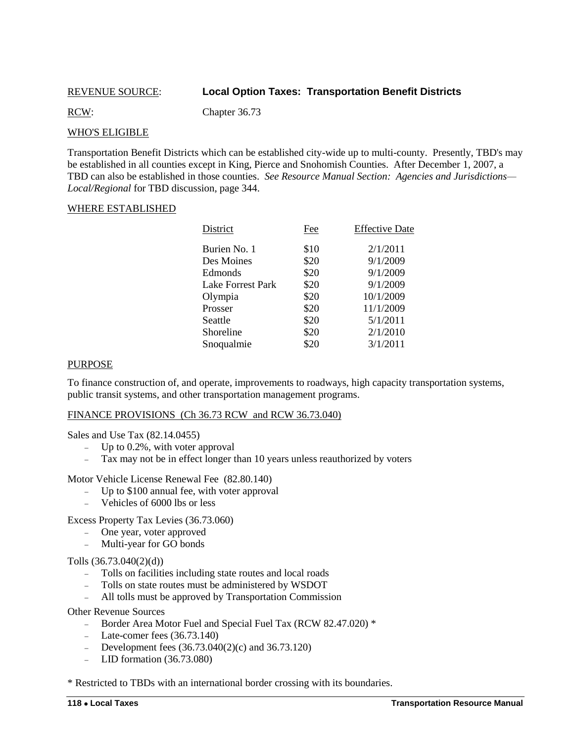### <span id="page-11-0"></span>REVENUE SOURCE: **Local Option Taxes: Transportation Benefit Districts**

RCW: Chapter 36.73

#### WHO'S ELIGIBLE

Transportation Benefit Districts which can be established city-wide up to multi-county. Presently, TBD's may be established in all counties except in King, Pierce and Snohomish Counties. After December 1, 2007, a TBD can also be established in those counties. *See Resource Manual Section: Agencies and Jurisdictions— Local/Regional* for TBD discussion, page 344.

#### WHERE ESTABLISHED

| Fee  | <b>Effective Date</b> |
|------|-----------------------|
| \$10 | 2/1/2011              |
| \$20 | 9/1/2009              |
| \$20 | 9/1/2009              |
| \$20 | 9/1/2009              |
| \$20 | 10/1/2009             |
| \$20 | 11/1/2009             |
| \$20 | 5/1/2011              |
| \$20 | 2/1/2010              |
| \$20 | 3/1/2011              |
|      |                       |

#### PURPOSE

To finance construction of, and operate, improvements to roadways, high capacity transportation systems, public transit systems, and other transportation management programs.

#### FINANCE PROVISIONS (Ch 36.73 RCW and RCW 36.73.040)

Sales and Use Tax (82.14.0455)

- $-$  Up to 0.2%, with voter approval
- Tax may not be in effect longer than 10 years unless reauthorized by voters

Motor Vehicle License Renewal Fee (82.80.140)

- Up to \$100 annual fee, with voter approval
- Vehicles of 6000 lbs or less

Excess Property Tax Levies (36.73.060)

- One year, voter approved
- Multi-year for GO bonds

Tolls (36.73.040(2)(d))

- Tolls on facilities including state routes and local roads
- Tolls on state routes must be administered by WSDOT
- All tolls must be approved by Transportation Commission

Other Revenue Sources

- Border Area Motor Fuel and Special Fuel Tax (RCW 82.47.020) \*
- $\text{...}$  Late-comer fees (36.73.140)
- Development fees  $(36.73.040(2)(c)$  and  $36.73.120)$
- LID formation  $(36.73.080)$

\* Restricted to TBDs with an international border crossing with its boundaries.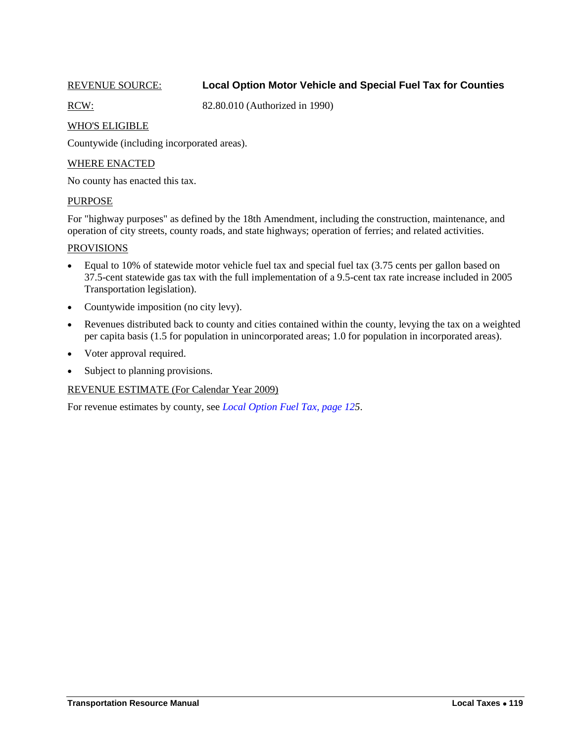# <span id="page-12-0"></span>REVENUE SOURCE: **Local Option Motor Vehicle and Special Fuel Tax for Counties**

RCW: 82.80.010 (Authorized in 1990)

### WHO'S ELIGIBLE

Countywide (including incorporated areas).

#### WHERE ENACTED

No county has enacted this tax.

#### PURPOSE

For "highway purposes" as defined by the 18th Amendment, including the construction, maintenance, and operation of city streets, county roads, and state highways; operation of ferries; and related activities.

#### PROVISIONS

- Equal to 10% of statewide motor vehicle fuel tax and special fuel tax (3.75 cents per gallon based on 37.5-cent statewide gas tax with the full implementation of a 9.5-cent tax rate increase included in 2005 Transportation legislation).
- Countywide imposition (no city levy).
- Revenues distributed back to county and cities contained within the county, levying the tax on a weighted per capita basis (1.5 for population in unincorporated areas; 1.0 for population in incorporated areas).
- Voter approval required.
- Subject to planning provisions.

# REVENUE ESTIMATE (For Calendar Year 2009)

For revenue estimates by county, see *[Local Option Fuel Tax, page 125](#page-18-0)*.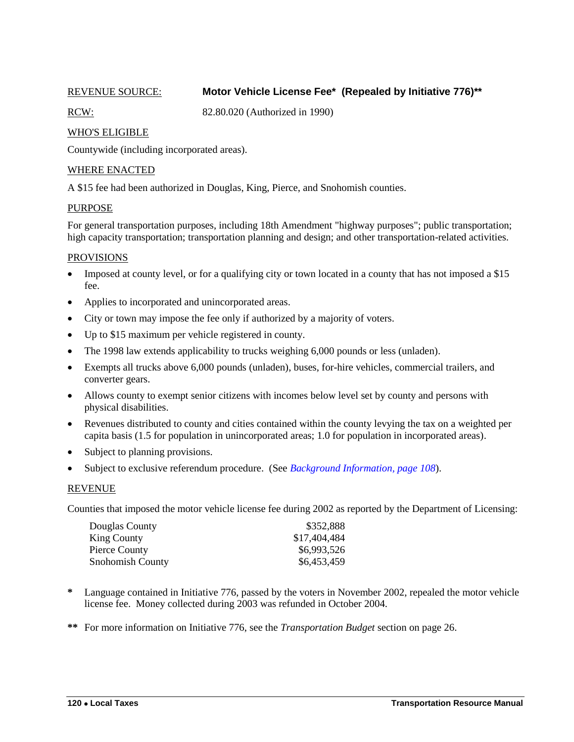# <span id="page-13-0"></span>REVENUE SOURCE: **Motor Vehicle License Fee\* (Repealed by Initiative 776)\*\***

RCW: 82.80.020 (Authorized in 1990)

# WHO'S ELIGIBLE

Countywide (including incorporated areas).

#### WHERE ENACTED

A \$15 fee had been authorized in Douglas, King, Pierce, and Snohomish counties.

#### PURPOSE

For general transportation purposes, including 18th Amendment "highway purposes"; public transportation; high capacity transportation; transportation planning and design; and other transportation-related activities.

#### PROVISIONS

- Imposed at county level, or for a qualifying city or town located in a county that has not imposed a \$15 fee.
- Applies to incorporated and unincorporated areas.
- City or town may impose the fee only if authorized by a majority of voters.
- Up to \$15 maximum per vehicle registered in county.
- The 1998 law extends applicability to trucks weighing 6,000 pounds or less (unladen).
- Exempts all trucks above 6,000 pounds (unladen), buses, for-hire vehicles, commercial trailers, and converter gears.
- Allows county to exempt senior citizens with incomes below level set by county and persons with physical disabilities.
- Revenues distributed to county and cities contained within the county levying the tax on a weighted per capita basis (1.5 for population in unincorporated areas; 1.0 for population in incorporated areas).
- Subject to planning provisions.
- Subject to exclusive referendum procedure. (See *Background Information, page 108*).

#### REVENUE

Counties that imposed the motor vehicle license fee during 2002 as reported by the Department of Licensing:

| Douglas County     | \$352,888    |
|--------------------|--------------|
| <b>King County</b> | \$17,404,484 |
| Pierce County      | \$6,993,526  |
| Snohomish County   | \$6,453,459  |

- Language contained in Initiative 776, passed by the voters in November 2002, repealed the motor vehicle license fee. Money collected during 2003 was refunded in October 2004.
- **\*\*** For more information on Initiative 776, see the *Transportation Budget* section on page 26.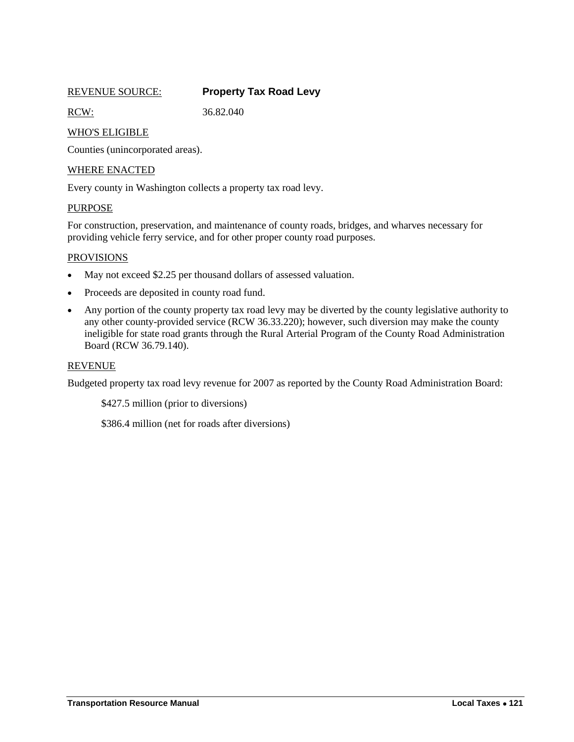## REVENUE SOURCE: **Property Tax Road Levy**

RCW: 36.82.040

<span id="page-14-0"></span>

# WHO'S ELIGIBLE

Counties (unincorporated areas).

## WHERE ENACTED

Every county in Washington collects a property tax road levy.

#### PURPOSE

For construction, preservation, and maintenance of county roads, bridges, and wharves necessary for providing vehicle ferry service, and for other proper county road purposes.

#### **PROVISIONS**

- May not exceed \$2.25 per thousand dollars of assessed valuation.
- Proceeds are deposited in county road fund.
- Any portion of the county property tax road levy may be diverted by the county legislative authority to any other county-provided service (RCW 36.33.220); however, such diversion may make the county ineligible for state road grants through the Rural Arterial Program of the County Road Administration Board (RCW 36.79.140).

#### REVENUE

Budgeted property tax road levy revenue for 2007 as reported by the County Road Administration Board:

\$427.5 million (prior to diversions)

\$386.4 million (net for roads after diversions)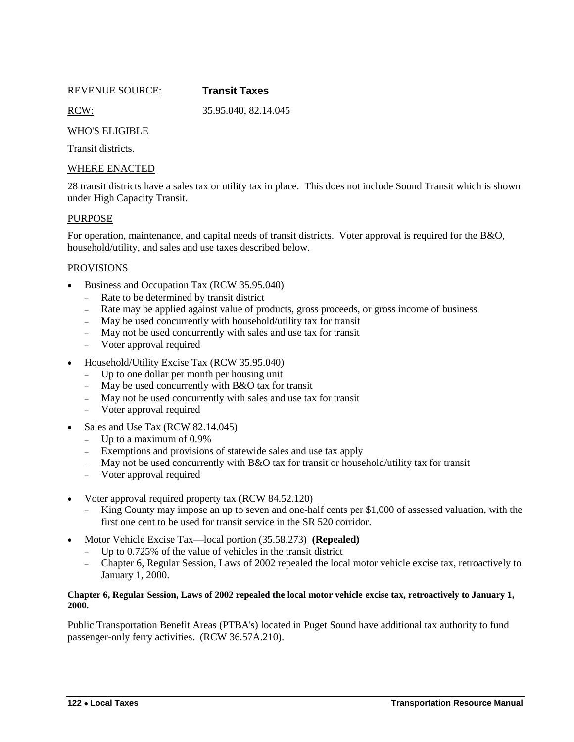REVENUE SOURCE: **Transit Taxes**

<span id="page-15-0"></span>

RCW: 35.95.040, 82.14.045

# WHO'S ELIGIBLE

Transit districts.

## WHERE ENACTED

28 transit districts have a sales tax or utility tax in place. This does not include Sound Transit which is shown under High Capacity Transit.

### PURPOSE

For operation, maintenance, and capital needs of transit districts. Voter approval is required for the B&O, household/utility, and sales and use taxes described below.

### **PROVISIONS**

- Business and Occupation Tax (RCW 35.95.040)
	- Rate to be determined by transit district
	- Rate may be applied against value of products, gross proceeds, or gross income of business
	- May be used concurrently with household/utility tax for transit
	- May not be used concurrently with sales and use tax for transit
	- Voter approval required
- Household/Utility Excise Tax (RCW 35.95.040)
	- Up to one dollar per month per housing unit
	- May be used concurrently with B&O tax for transit
	- May not be used concurrently with sales and use tax for transit
	- Voter approval required
- Sales and Use Tax (RCW 82.14.045)
	- Up to a maximum of  $0.9\%$
	- Exemptions and provisions of statewide sales and use tax apply
	- May not be used concurrently with B&O tax for transit or household/utility tax for transit
	- Voter approval required
- Voter approval required property tax (RCW 84.52.120)
	- King County may impose an up to seven and one-half cents per \$1,000 of assessed valuation, with the first one cent to be used for transit service in the SR 520 corridor.
- Motor Vehicle Excise Tax—local portion (35.58.273) **(Repealed)**
	- Up to 0.725% of the value of vehicles in the transit district
	- Chapter 6, Regular Session, Laws of 2002 repealed the local motor vehicle excise tax, retroactively to January 1, 2000.

#### **Chapter 6, Regular Session, Laws of 2002 repealed the local motor vehicle excise tax, retroactively to January 1, 2000.**

Public Transportation Benefit Areas (PTBA's) located in Puget Sound have additional tax authority to fund passenger-only ferry activities. (RCW 36.57A.210).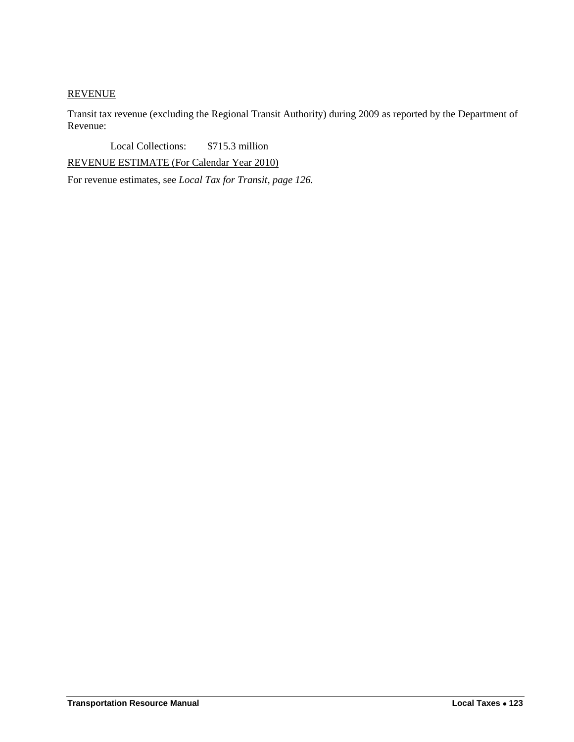# **REVENUE**

Transit tax revenue (excluding the Regional Transit Authority) during 2009 as reported by the Department of Revenue:

Local Collections: \$715.3 million

REVENUE ESTIMATE (For Calendar Year 2010)

For revenue estimates, see *Local Tax for Transit, page 126.*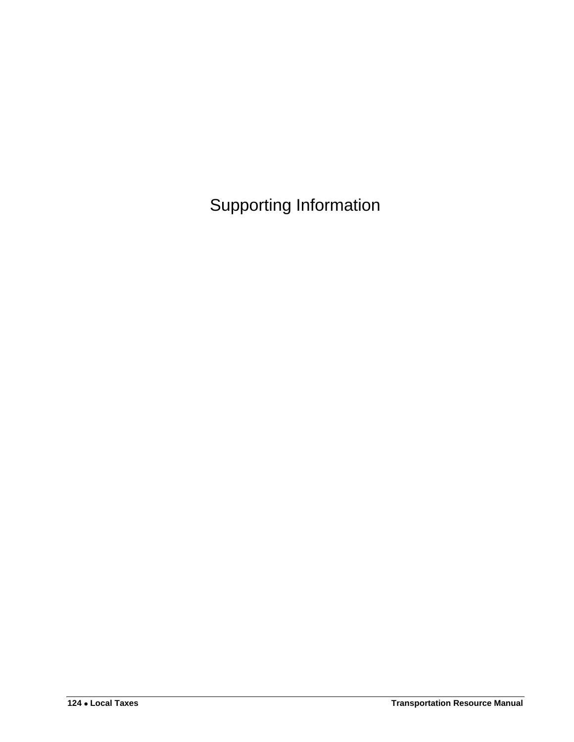<span id="page-17-0"></span>Supporting Information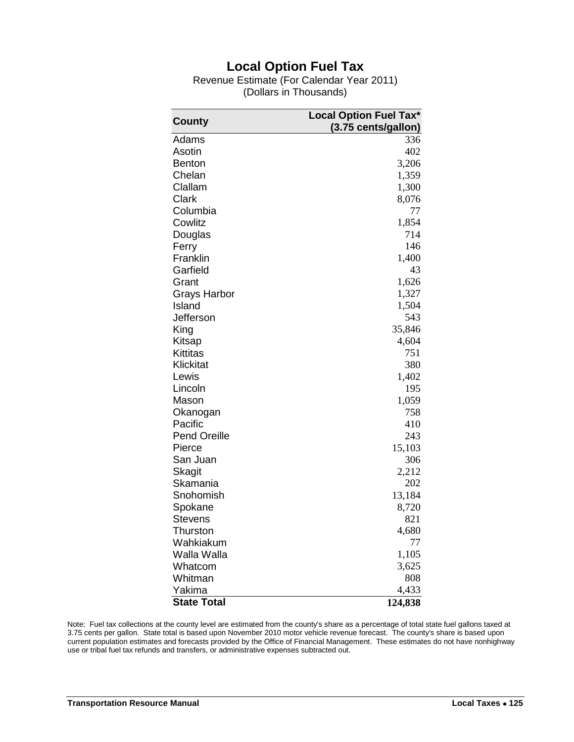# **Local Option Fuel Tax**

Revenue Estimate (For Calendar Year 2011) (Dollars in Thousands)

<span id="page-18-0"></span>

|                     | <b>Local Option Fuel Tax*</b> |
|---------------------|-------------------------------|
| County              | (3.75 cents/gallon)           |
| Adams               | 336                           |
| Asotin              | 402                           |
| <b>Benton</b>       | 3,206                         |
| Chelan              | 1,359                         |
| Clallam             | 1,300                         |
| Clark               | 8,076                         |
| Columbia            | 77                            |
| Cowlitz             | 1,854                         |
| Douglas             | 714                           |
| Ferry               | 146                           |
| Franklin            | 1,400                         |
| Garfield            | 43                            |
| Grant               | 1,626                         |
| Grays Harbor        | 1,327                         |
| Island              | 1,504                         |
| Jefferson           | 543                           |
| King                | 35,846                        |
| Kitsap              | 4,604                         |
| Kittitas            | 751                           |
| Klickitat           | 380                           |
| Lewis               | 1,402                         |
| Lincoln             | 195                           |
| Mason               | 1,059                         |
| Okanogan            | 758                           |
| Pacific             | 410                           |
| <b>Pend Oreille</b> | 243                           |
| Pierce              | 15,103                        |
| San Juan            | 306                           |
| <b>Skagit</b>       | 2,212                         |
| Skamania            | 202                           |
| Snohomish           | 13,184                        |
| Spokane             | 8,720                         |
| Stevens             | 821                           |
| Thurston            | 4,680                         |
| Wahkiakum           | 77                            |
| Walla Walla         | 1,105                         |
| Whatcom             | 3,625                         |
| Whitman             | 808                           |
| Yakima              | 4,433                         |
| <b>State Total</b>  | 124,838                       |

Note: Fuel tax collections at the county level are estimated from the county's share as a percentage of total state fuel gallons taxed at 3.75 cents per gallon. State total is based upon November 2010 motor vehicle revenue forecast. The county's share is based upon current population estimates and forecasts provided by the Office of Financial Management. These estimates do not have nonhighway use or tribal fuel tax refunds and transfers, or administrative expenses subtracted out.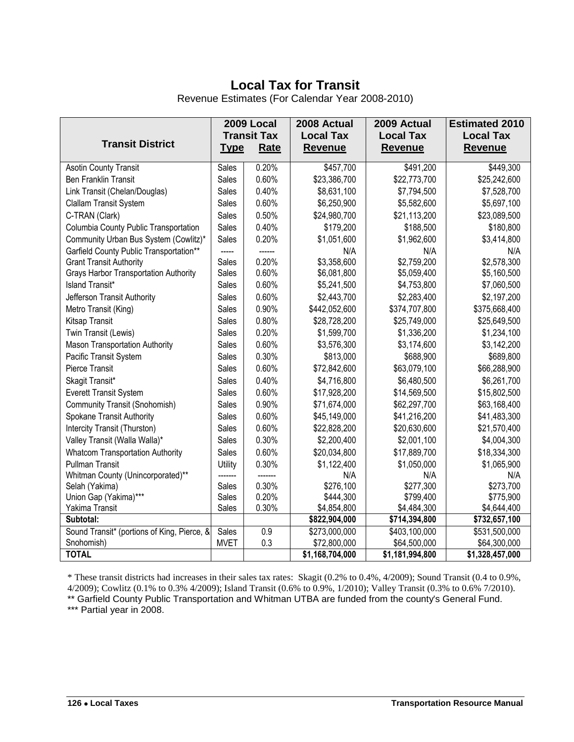# **Local Tax for Transit**

<span id="page-19-0"></span>

|                                              | <b>2009 Local</b>  |             | 2008 Actual                | 2009 Actual      | <b>Estimated 2010</b> |
|----------------------------------------------|--------------------|-------------|----------------------------|------------------|-----------------------|
|                                              | <b>Transit Tax</b> |             | <b>Local Tax</b>           | <b>Local Tax</b> | <b>Local Tax</b>      |
| <b>Transit District</b>                      | <u>Type</u>        | <b>Rate</b> | <b>Revenue</b>             | <b>Revenue</b>   | <b>Revenue</b>        |
| <b>Asotin County Transit</b>                 | Sales              | 0.20%       | \$457,700                  | \$491,200        | \$449,300             |
| <b>Ben Franklin Transit</b>                  | Sales              | 0.60%       | \$23,386,700               | \$22,773,700     | \$25,242,600          |
| Link Transit (Chelan/Douglas)                | Sales              | 0.40%       | \$8,631,100                | \$7,794,500      | \$7,528,700           |
| Clallam Transit System                       | Sales              | 0.60%       | \$6,250,900                | \$5,582,600      | \$5,697,100           |
| C-TRAN (Clark)                               | Sales              | 0.50%       | \$24,980,700               | \$21,113,200     | \$23,089,500          |
| Columbia County Public Transportation        | Sales              | 0.40%       | \$179,200                  | \$188,500        | \$180,800             |
| Community Urban Bus System (Cowlitz)*        | Sales              | 0.20%       | \$1,051,600                | \$1,962,600      | \$3,414,800           |
| Garfield County Public Transportation**      |                    |             | N/A                        | N/A              | N/A                   |
| <b>Grant Transit Authority</b>               | <b>Sales</b>       | 0.20%       | \$3,358,600                | \$2,759,200      | \$2,578,300           |
| <b>Grays Harbor Transportation Authority</b> | Sales              | 0.60%       | \$6,081,800                | \$5,059,400      | \$5,160,500           |
| <b>Island Transit*</b>                       | Sales              | 0.60%       | \$5,241,500                | \$4,753,800      | \$7,060,500           |
| Jefferson Transit Authority                  | Sales              | 0.60%       | \$2,443,700                | \$2,283,400      | \$2,197,200           |
| Metro Transit (King)                         | Sales              | 0.90%       | \$442,052,600              | \$374,707,800    | \$375,668,400         |
| Kitsap Transit                               | Sales              | 0.80%       | \$28,728,200               | \$25,749,000     | \$25,649,500          |
| Twin Transit (Lewis)                         | Sales              | 0.20%       | \$1,599,700                | \$1,336,200      | \$1,234,100           |
| <b>Mason Transportation Authority</b>        | Sales              | 0.60%       | \$3,576,300                | \$3,174,600      | \$3,142,200           |
| Pacific Transit System                       | Sales              | 0.30%       | \$813,000                  | \$688,900        | \$689,800             |
| Pierce Transit                               | Sales              | 0.60%       | \$72,842,600               | \$63,079,100     | \$66,288,900          |
| Skagit Transit*                              | Sales              | 0.40%       | \$4,716,800                | \$6,480,500      | \$6,261,700           |
| <b>Everett Transit System</b>                | Sales              | 0.60%       | \$17,928,200               | \$14,569,500     | \$15,802,500          |
| Community Transit (Snohomish)                | Sales              | 0.90%       | \$71,674,000               | \$62,297,700     | \$63,168,400          |
| Spokane Transit Authority                    | Sales              | 0.60%       | \$45,149,000               | \$41,216,200     | \$41,483,300          |
| Intercity Transit (Thurston)                 | Sales              | 0.60%       | \$22,828,200               | \$20,630,600     | \$21,570,400          |
| Valley Transit (Walla Walla)*                | Sales              | 0.30%       | \$2,200,400                | \$2,001,100      | \$4,004,300           |
| <b>Whatcom Transportation Authority</b>      | Sales              | 0.60%       | \$20,034,800               | \$17,889,700     | \$18,334,300          |
| <b>Pullman Transit</b>                       | Utility            | 0.30%       | \$1,122,400                | \$1,050,000      | \$1,065,900           |
| Whitman County (Unincorporated)**            |                    |             | N/A                        | N/A              | N/A                   |
| Selah (Yakima)                               | Sales              | 0.30%       | \$276,100                  | \$277,300        | \$273,700             |
| Union Gap (Yakima)***                        | Sales              | 0.20%       | \$444,300                  | \$799,400        | \$775,900             |
| Yakima Transit                               | Sales              | 0.30%       | \$4,854,800                | \$4,484,300      | \$4,644,400           |
| Subtotal:                                    |                    |             | \$822,904,000              | \$714,394,800    | \$732,657,100         |
| Sound Transit* (portions of King, Pierce, &  | Sales              | 0.9         | \$273,000,000              | \$403,100,000    | \$531,500,000         |
| Snohomish)                                   | <b>MVET</b>        | 0.3         | \$72,800,000               | \$64,500,000     | \$64,300,000          |
| <b>TOTAL</b>                                 |                    |             | $\overline{1,168,704,000}$ | \$1,181,994,800  | \$1,328,457,000       |

\* These transit districts had increases in their sales tax rates: Skagit (0.2% to 0.4%, 4/2009); Sound Transit (0.4 to 0.9%, 4/2009); Cowlitz (0.1% to 0.3% 4/2009); Island Transit (0.6% to 0.9%, 1/2010); Valley Transit (0.3% to 0.6% 7/2010).

\*\* Garfield County Public Transportation and Whitman UTBA are funded from the county's General Fund.

\*\*\* Partial year in 2008.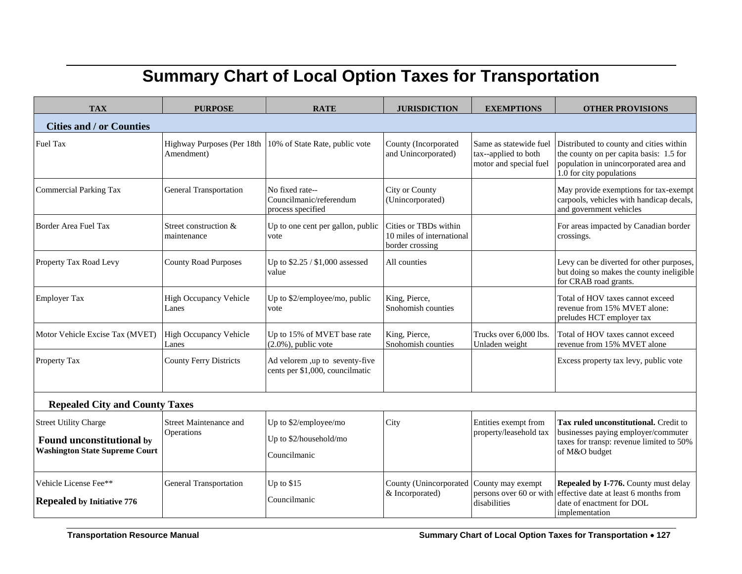# **Summary Chart of Local Option Taxes for Transportation**

<span id="page-20-0"></span>

| <b>TAX</b>                                                                                         | <b>PURPOSE</b>                           | <b>RATE</b>                                                       | <b>JURISDICTION</b>                                                   | <b>EXEMPTIONS</b>                                                        | <b>OTHER PROVISIONS</b>                                                                                                                                 |  |
|----------------------------------------------------------------------------------------------------|------------------------------------------|-------------------------------------------------------------------|-----------------------------------------------------------------------|--------------------------------------------------------------------------|---------------------------------------------------------------------------------------------------------------------------------------------------------|--|
| <b>Cities and / or Counties</b>                                                                    |                                          |                                                                   |                                                                       |                                                                          |                                                                                                                                                         |  |
| Fuel Tax                                                                                           | Highway Purposes (Per 18th<br>Amendment) | 10% of State Rate, public vote                                    | County (Incorporated<br>and Unincorporated)                           | Same as statewide fuel<br>tax--applied to both<br>motor and special fuel | Distributed to county and cities within<br>the county on per capita basis: 1.5 for<br>population in unincorporated area and<br>1.0 for city populations |  |
| <b>Commercial Parking Tax</b>                                                                      | <b>General Transportation</b>            | No fixed rate--<br>Councilmanic/referendum<br>process specified   | <b>City or County</b><br>(Unincorporated)                             |                                                                          | May provide exemptions for tax-exempt<br>carpools, vehicles with handicap decals,<br>and government vehicles                                            |  |
| Border Area Fuel Tax                                                                               | Street construction &<br>maintenance     | Up to one cent per gallon, public<br>vote                         | Cities or TBDs within<br>10 miles of international<br>border crossing |                                                                          | For areas impacted by Canadian border<br>crossings.                                                                                                     |  |
| Property Tax Road Levy                                                                             | <b>County Road Purposes</b>              | Up to \$2.25 / \$1,000 assessed<br>value                          | All counties                                                          |                                                                          | Levy can be diverted for other purposes,<br>but doing so makes the county ineligible<br>for CRAB road grants.                                           |  |
| <b>Employer Tax</b>                                                                                | <b>High Occupancy Vehicle</b><br>Lanes   | Up to \$2/employee/mo, public<br>vote                             | King, Pierce,<br>Snohomish counties                                   |                                                                          | Total of HOV taxes cannot exceed<br>revenue from 15% MVET alone:<br>preludes HCT employer tax                                                           |  |
| Motor Vehicle Excise Tax (MVET)                                                                    | High Occupancy Vehicle<br>Lanes          | Up to 15% of MVET base rate<br>$(2.0\%)$ , public vote            | King, Pierce,<br>Snohomish counties                                   | Trucks over 6,000 lbs.<br>Unladen weight                                 | Total of HOV taxes cannot exceed<br>revenue from 15% MVET alone                                                                                         |  |
| Property Tax                                                                                       | <b>County Ferry Districts</b>            | Ad velorem ,up to seventy-five<br>cents per \$1,000, councilmatic |                                                                       |                                                                          | Excess property tax levy, public vote                                                                                                                   |  |
| <b>Repealed City and County Taxes</b>                                                              |                                          |                                                                   |                                                                       |                                                                          |                                                                                                                                                         |  |
| <b>Street Utility Charge</b><br>Found unconstitutional by<br><b>Washington State Supreme Court</b> | Street Maintenance and<br>Operations     | Up to \$2/employee/mo<br>Up to \$2/household/mo<br>Councilmanic   | City                                                                  | Entities exempt from<br>property/leasehold tax                           | Tax ruled unconstitutional. Credit to<br>businesses paying employer/commuter<br>taxes for transp: revenue limited to 50%<br>of M&O budget               |  |
| Vehicle License Fee**<br><b>Repealed by Initiative 776</b>                                         | <b>General Transportation</b>            | Up to \$15<br>Councilmanic                                        | County (Unincorporated County may exempt<br>& Incorporated)           | disabilities                                                             | Repealed by I-776. County must delay<br>persons over 60 or with effective date at least 6 months from<br>date of enactment for DOL<br>implementation    |  |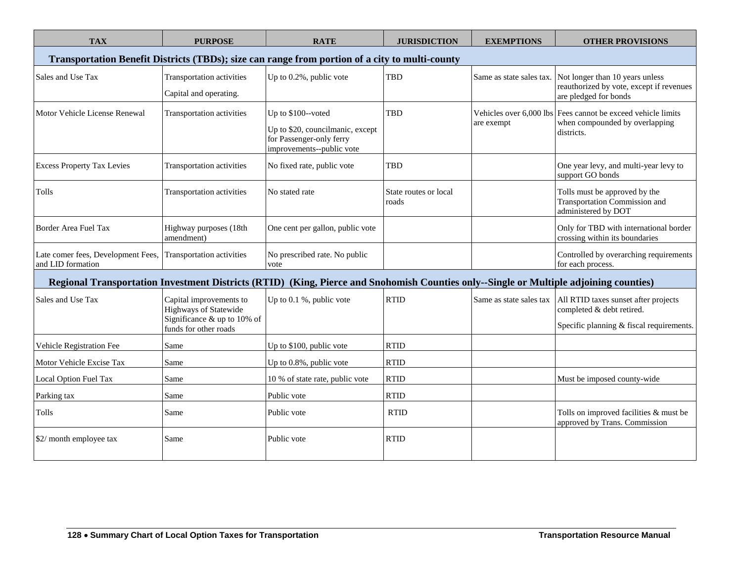| <b>TAX</b>                                                                                                                            | <b>PURPOSE</b>                                                                                                    | <b>RATE</b>                                                                                                     | <b>JURISDICTION</b>            | <b>EXEMPTIONS</b>        | <b>OTHER PROVISIONS</b>                                                                                       |  |
|---------------------------------------------------------------------------------------------------------------------------------------|-------------------------------------------------------------------------------------------------------------------|-----------------------------------------------------------------------------------------------------------------|--------------------------------|--------------------------|---------------------------------------------------------------------------------------------------------------|--|
| Transportation Benefit Districts (TBDs); size can range from portion of a city to multi-county                                        |                                                                                                                   |                                                                                                                 |                                |                          |                                                                                                               |  |
| Sales and Use Tax                                                                                                                     | Transportation activities<br>Capital and operating.                                                               | Up to 0.2%, public vote                                                                                         | TBD                            | Same as state sales tax. | Not longer than 10 years unless<br>reauthorized by vote, except if revenues<br>are pledged for bonds          |  |
| Motor Vehicle License Renewal                                                                                                         | Transportation activities                                                                                         | Up to \$100--voted<br>Up to \$20, councilmanic, except<br>for Passenger-only ferry<br>improvements--public vote | <b>TBD</b>                     | are exempt               | Vehicles over 6,000 lbs Fees cannot be exceed vehicle limits<br>when compounded by overlapping<br>districts.  |  |
| <b>Excess Property Tax Levies</b>                                                                                                     | Transportation activities                                                                                         | No fixed rate, public vote                                                                                      | <b>TBD</b>                     |                          | One year levy, and multi-year levy to<br>support GO bonds                                                     |  |
| Tolls                                                                                                                                 | Transportation activities                                                                                         | No stated rate                                                                                                  | State routes or local<br>roads |                          | Tolls must be approved by the<br>Transportation Commission and<br>administered by DOT                         |  |
| Border Area Fuel Tax                                                                                                                  | Highway purposes (18th<br>amendment)                                                                              | One cent per gallon, public vote                                                                                |                                |                          | Only for TBD with international border<br>crossing within its boundaries                                      |  |
| Late comer fees, Development Fees, Transportation activities<br>and LID formation                                                     |                                                                                                                   | No prescribed rate. No public<br>vote                                                                           |                                |                          | Controlled by overarching requirements<br>for each process.                                                   |  |
| Regional Transportation Investment Districts (RTID) (King, Pierce and Snohomish Counties only--Single or Multiple adjoining counties) |                                                                                                                   |                                                                                                                 |                                |                          |                                                                                                               |  |
| Sales and Use Tax                                                                                                                     | Capital improvements to<br><b>Highways of Statewide</b><br>Significance $&$ up to 10% of<br>funds for other roads | Up to 0.1 %, public vote                                                                                        | <b>RTID</b>                    | Same as state sales tax  | All RTID taxes sunset after projects<br>completed & debt retired.<br>Specific planning & fiscal requirements. |  |
| Vehicle Registration Fee                                                                                                              | Same                                                                                                              | Up to \$100, public vote                                                                                        | <b>RTID</b>                    |                          |                                                                                                               |  |
| Motor Vehicle Excise Tax                                                                                                              | Same                                                                                                              | Up to 0.8%, public vote                                                                                         | <b>RTID</b>                    |                          |                                                                                                               |  |
| Local Option Fuel Tax                                                                                                                 | Same                                                                                                              | 10 % of state rate, public vote                                                                                 | <b>RTID</b>                    |                          | Must be imposed county-wide                                                                                   |  |
| Parking tax                                                                                                                           | Same                                                                                                              | Public vote                                                                                                     | <b>RTID</b>                    |                          |                                                                                                               |  |
| Tolls                                                                                                                                 | Same                                                                                                              | Public vote                                                                                                     | <b>RTID</b>                    |                          | Tolls on improved facilities & must be<br>approved by Trans. Commission                                       |  |
| \$2/ month employee tax                                                                                                               | Same                                                                                                              | Public vote                                                                                                     | <b>RTID</b>                    |                          |                                                                                                               |  |